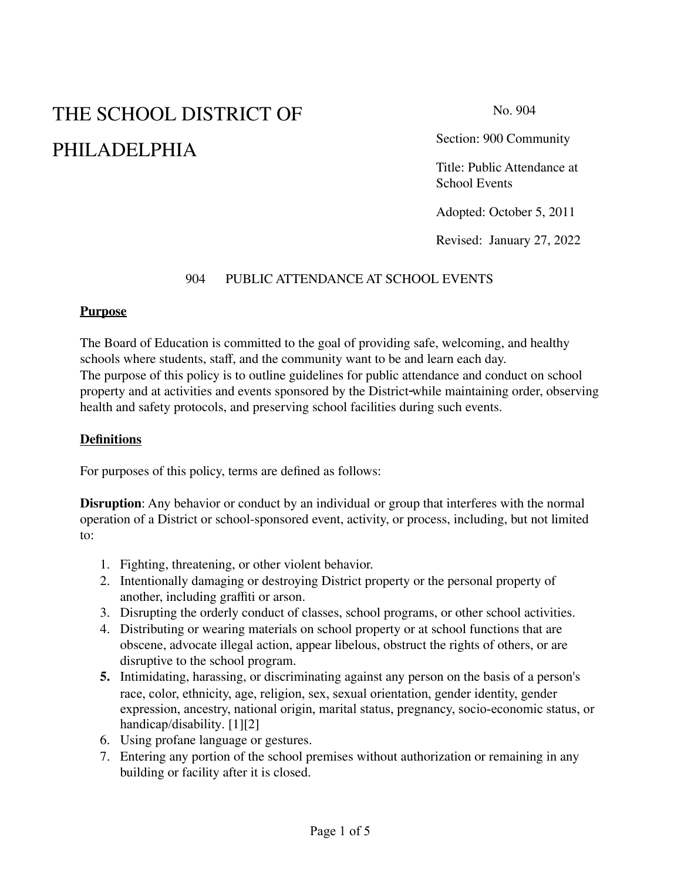# THE SCHOOL DISTRICT OF PHILADELPHIA

No. 904

Section: 900 Community

Title: Public Attendance at School Events

Adopted: October 5, 2011

Revised: January 27, 2022

#### 904 PUBLIC ATTENDANCE AT SCHOOL EVENTS

#### **Purpose**

The Board of Education is committed to the goal of providing safe, welcoming, and healthy schools where students, staff, and the community want to be and learn each day. The purpose of this policy is to outline guidelines for public attendance and conduct on school property and at activities and events sponsored by the District while maintaining order, observing health and safety protocols, and preserving school facilities during such events.

#### **Definitions**

For purposes of this policy, terms are defined as follows:

**Disruption**: Any behavior or conduct by an individual or group that interferes with the normal operation of a District or school-sponsored event, activity, or process, including, but not limited to:

- 1. Fighting, threatening, or other violent behavior.
- 2. Intentionally damaging or destroying District property or the personal property of another, including graffiti or arson.
- 3. Disrupting the orderly conduct of classes, school programs, or other school activities.
- 4. Distributing or wearing materials on school property or at school functions that are obscene, advocate illegal action, appear libelous, obstruct the rights of others, or are disruptive to the school program.
- **5.** Intimidating, harassing, or discriminating against any person on the basis of a person's race, color, ethnicity, age, religion, sex, sexual orientation, gender identity, gender expression, ancestry, national origin, marital status, pregnancy, socio-economic status, or handicap/disability. [1][2]
- 6. Using profane language or gestures.
- 7. Entering any portion of the school premises without authorization or remaining in any building or facility after it is closed.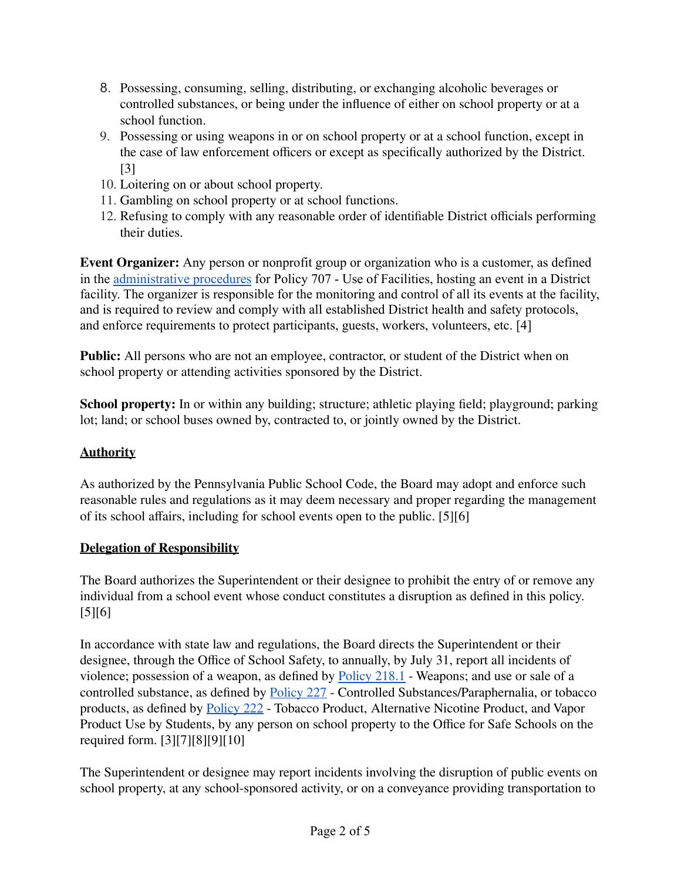- 8. Possessing, consuming, selling, distributing, or exchanging alcoholic beverages or controlled substances, or being under the influence of either on school property or at a school function.
- 9. Possessing or using weapons in or on school property or at a school function, except in the case of law enforcement officers or except as specifically authorized by the District. [3]
- 10. Loitering on or about school property.
- 11. Gambling on school property or at school functions.
- 12. Refusing to comply with any reasonable order of identifiable District officials performing their duties.

**Event Organizer:** Any person or nonprofit group or organization who is a customer, as defined in the [administrative procedures](https://www.philasd.org/schoolboard/wp-content/uploads/sites/892/2020/09/707_Use-of-School-Facilities_Procedures-9.3.20-1.pdf) for Policy 707 - Use of Facilities, hosting an event in a District facility. The organizer is responsible for the monitoring and control of all its events at the facility, and is required to review and comply with all established District health and safety protocols, and enforce requirements to protect participants, guests, workers, volunteers, etc. [4]

**Public:** All persons who are not an employee, contractor, or student of the District when on school property or attending activities sponsored by the District.

**School property:** In or within any building; structure; athletic playing field; playground; parking lot; land; or school buses owned by, contracted to, or jointly owned by the District.

## **Authority**

As authorized by the Pennsylvania Public School Code, the Board may adopt and enforce such reasonable rules and regulations as it may deem necessary and proper regarding the management of its school affairs, including for school events open to the public. [5][6]

## **Delegation of Responsibility**

The Board authorizes the Superintendent or their designee to prohibit the entry of or remove any individual from a school event whose conduct constitutes a disruption as defined in this policy. [5][6]

In accordance with state law and regulations, the Board directs the Superintendent or their designee, through the Office of School Safety, to annually, by July 31, report all incidents of violence; possession of a weapon, as defined by [Policy](https://www.philasd.org/schoolboard/policies/) 218.1 - Weapons; and use or sale of a controlled substance, as defined by [Policy](https://www.philasd.org/schoolboard/policies/) 227 - Controlled Substances/Paraphernalia, or tobacco products, as defined by [Policy](https://www.philasd.org/schoolboard/policies/) 222 - Tobacco Product, Alternative Nicotine Product, and Vapor Product Use by Students, by any person on school property to the Office for Safe Schools on the required form. [3][7][8][9][10]

The Superintendent or designee may report incidents involving the disruption of public events on school property, at any school-sponsored activity, or on a conveyance providing transportation to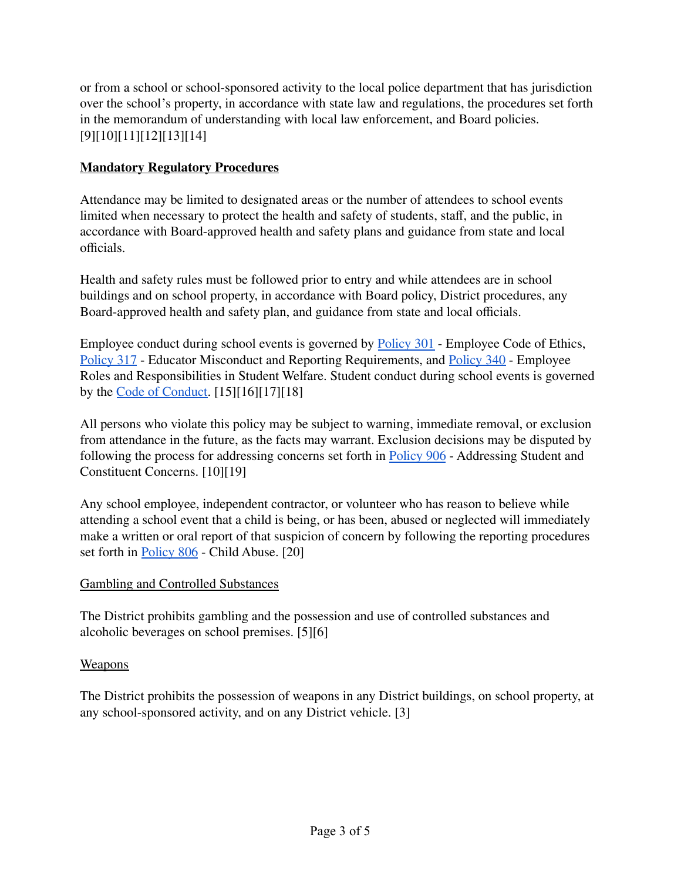or from a school or school-sponsored activity to the local police department that has jurisdiction over the school's property, in accordance with state law and regulations, the procedures set forth in the memorandum of understanding with local law enforcement, and Board policies. [9][10][11][12][13][14]

## **Mandatory Regulatory Procedures**

Attendance may be limited to designated areas or the number of attendees to school events limited when necessary to protect the health and safety of students, staff, and the public, in accordance with Board-approved health and safety plans and guidance from state and local officials.

Health and safety rules must be followed prior to entry and while attendees are in school buildings and on school property, in accordance with Board policy, District procedures, any Board-approved health and safety plan, and guidance from state and local officials.

Employee conduct during school events is governed by [Policy](https://www.philasd.org/schoolboard/policies/) 301 - Employee Code of Ethics, [Policy](https://www.philasd.org/schoolboard/policies/) 317 - Educator Misconduct and Reporting Requirements, and [Policy](https://www.philasd.org/schoolboard/policies/) 340 - Employee Roles and Responsibilities in Student Welfare. Student conduct during school events is governed by the Code of [Conduct.](https://www.philasd.org/studentrights/) [15][16][17][18]

All persons who violate this policy may be subject to warning, immediate removal, or exclusion from attendance in the future, as the facts may warrant. Exclusion decisions may be disputed by following the process for addressing concerns set forth in [Policy](https://www.philasd.org/schoolboard/policies/) 90[6](https://www.philasd.org/schoolboard/wp-content/uploads/sites/892/2020/02/906_Addressing-Student-and-Constituent-Concerns_Policy_May.pdf) - Addressing Student and Constituent Concerns. [10][19]

Any school employee, independent contractor, or volunteer who has reason to believe while attending a school event that a child is being, or has been, abused or neglected will immediately make a written or oral report of that suspicion of concern by following the reporting procedures set forth in [Policy](https://www.philasd.org/schoolboard/policies/) 806 - Child Abuse. [20]

## Gambling and Controlled Substances

The District prohibits gambling and the possession and use of controlled substances and alcoholic beverages on school premises. [5][6]

## Weapons

The District prohibits the possession of weapons in any District buildings, on school property, at any school-sponsored activity, and on any District vehicle. [3]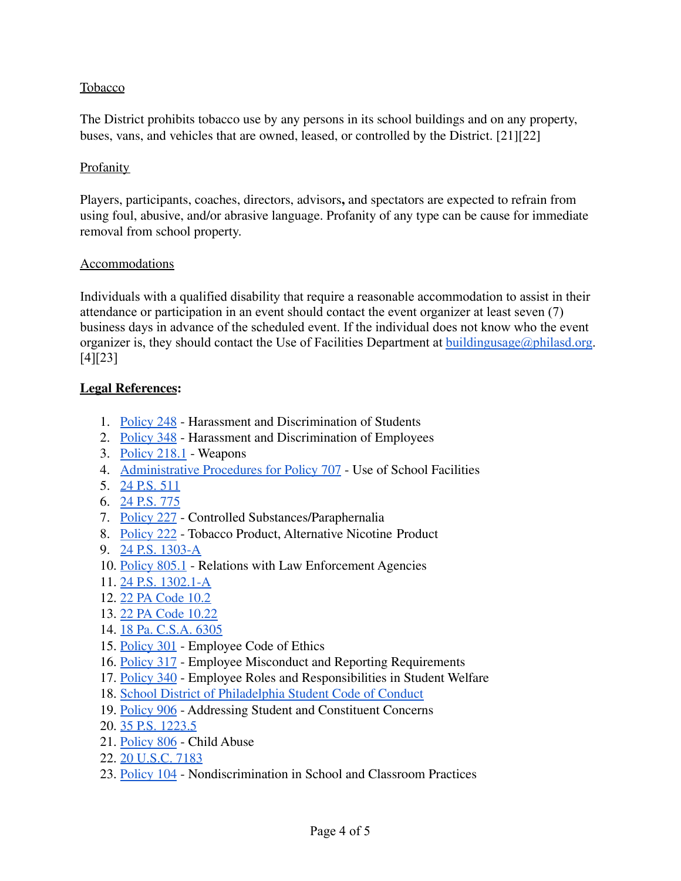#### Tobacco

The District prohibits tobacco use by any persons in its school buildings and on any property, buses, vans, and vehicles that are owned, leased, or controlled by the District. [21][22]

#### **Profanity**

Players, participants, coaches, directors, advisors**,** and spectators are expected to refrain from using foul, abusive, and/or abrasive language. Profanity of any type can be cause for immediate removal from school property.

#### Accommodations

Individuals with a qualified disability that require a reasonable accommodation to assist in their attendance or participation in an event should contact the event organizer at least seven (7) business days in advance of the scheduled event. If the individual does not know who the event organizer is, they should contact the Use of Facilities Department at [buildingusage@philasd.org.](mailto:buildingusage@philasd.org) [4][23]

#### **Legal References:**

- 1. [Policy](https://www.philasd.org/schoolboard/policies/) 248 Harassment and Discrimination of Students
- 2. [Policy](https://www.philasd.org/schoolboard/policies/) 348 Harassment and Discrimination of Employees
- 3. [Policy](https://www.philasd.org/schoolboard/policies/) 218.1 Weapons
- 4. [Administrative](https://www.philasd.org/schoolboard/policies/) Procedures for Policy 707 Use of School Facilities
- 5. 24 [P.S.](https://www.legis.state.pa.us/cfdocs/legis/LI/uconsCheck.cfm?txtType=HTM&yr=1949&sessInd=0&smthLwInd=0&act=14&chpt=5&sctn=11&subsctn=0) 511
- 6. 24 [P.S.](https://www.legis.state.pa.us/cfdocs/legis/LI/uconsCheck.cfm?txtType=HTM&yr=1949&sessInd=0&smthLwInd=0&act=14&chpt=7&sctn=75&subsctn=0) 775
- 7. [Policy](https://www.philasd.org/schoolboard/policies/) 227 Controlled Substances/Paraphernalia
- 8. [Policy](https://www.philasd.org/schoolboard/policies/) 222 Tobacco Product, Alternative Nicotine Product
- 9. 24 P.S. [1303-A](https://www.legis.state.pa.us/cfdocs/legis/LI/uconsCheck.cfm?txtType=HTM&yr=1949&sessInd=0&smthLwInd=0&act=014&chpt=13A)
- 10. [Policy](https://www.philasd.org/schoolboard/policies/) 805.1 Relations with Law Enforcement Agencies
- 11. 24 P.S. [1302.1-A](https://www.legis.state.pa.us/cfdocs/legis/LI/uconsCheck.cfm?txtType=HTM&yr=1949&sessInd=0&smthLwInd=0&act=014&chpt=13A)
- 12. 22 PA [Code](http://www.pacodeandbulletin.gov/Display/pacode?file=/secure/pacode/data/022/chapter10/s10.2.html&d=reduce) 10.2
- 13. 22 PA Code [10.22](http://www.pacodeandbulletin.gov/Display/pacode?file=/secure/pacode/data/022/chapter10/s10.22.html&d=reduce)
- 14. 18 Pa. [C.S.A.](https://www.legis.state.pa.us/WU01/LI/LI/CT/HTM/18/00.063.005.000..HTM) 6305
- 15. [Policy](https://www.philasd.org/schoolboard/policies/) 301 Employee Code of Ethics
- 16. [Policy](https://www.philasd.org/schoolboard/policies/) 317 Employee Misconduct and Reporting Requirements
- 17. [Policy](https://www.philasd.org/schoolboard/policies/) 340 Employee Roles and Responsibilities in Student Welfare
- 18. School District of Philadelphia Student [Code of Conduct](https://www.philasd.org/studentrights/)
- 19. [Policy](https://www.philasd.org/schoolboard/policies/) 90[6](https://www.philasd.org/schoolboard/wp-content/uploads/sites/892/2020/02/906_Addressing-Student-and-Constituent-Concerns_Policy_May.pdf) Addressing Student and Constituent Concerns
- 20. 35 P.S. [1223.5](https://codes.findlaw.com/pa/title-35-ps-health-and-safety/)
- 21. [Policy](https://www.philasd.org/schoolboard/policies/) 806 Child Abuse
- 22. 20 [U.S.C.](https://law.justia.com/codes/us/2008/title20/chap70/subchapiv/partc/sec7183/) 7183
- 23. [Policy](https://www.philasd.org/schoolboard/policies/) 104 Nondiscrimination in School and Classroom Practices